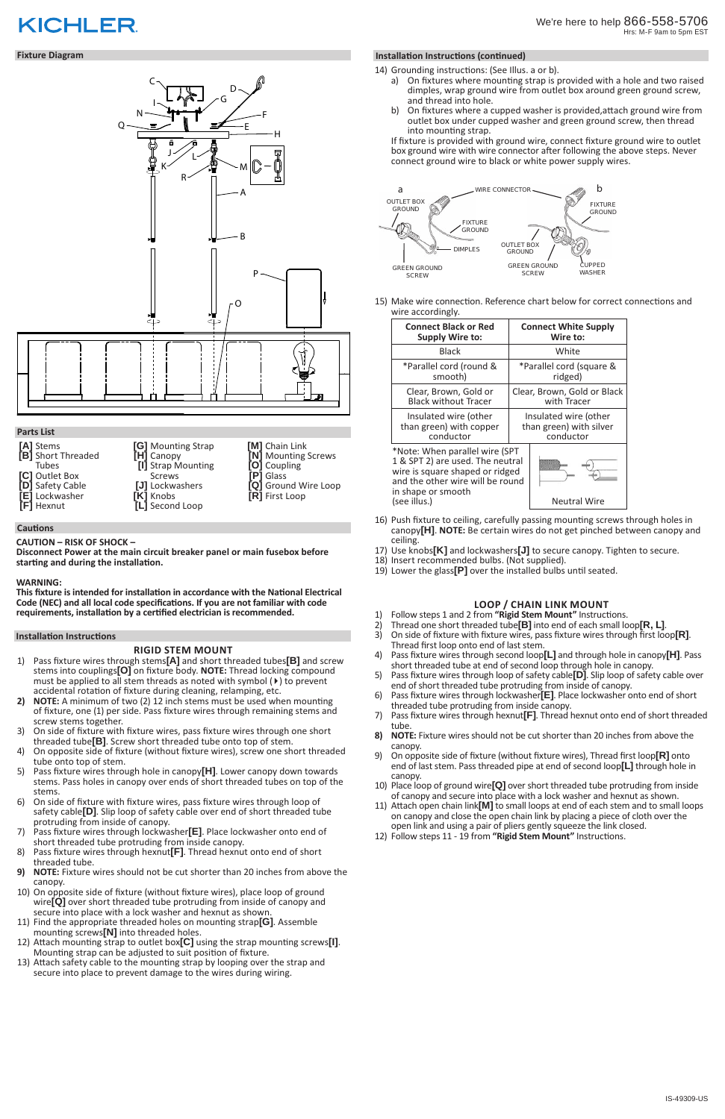# **KICHLER**

- 14) Grounding instructions: (See Illus. a or b).
	- a) On fixtures where mounting strap is provided with a hole and two raised dimples, wrap ground wire from outlet box around green ground screw, and thread into hole.
	- b) On fixtures where a cupped washer is provided,attach ground wire from outlet box under cupped washer and green ground screw, then thread into mounting strap.

If fixture is provided with ground wire, connect fixture ground wire to outlet box ground wire with wire connector after following the above steps. Never connect ground wire to black or white power supply wires.

15) Make wire connection. Reference chart below for correct connections and wire accordingly.

| <b>Connect Black or Red</b>                                                                                                                                     | <b>Connect White Supply</b> |
|-----------------------------------------------------------------------------------------------------------------------------------------------------------------|-----------------------------|
| <b>Supply Wire to:</b>                                                                                                                                          | Wire to:                    |
| <b>Black</b>                                                                                                                                                    | White                       |
| *Parallel cord (round &                                                                                                                                         | *Parallel cord (square &    |
| smooth)                                                                                                                                                         | ridged)                     |
| Clear, Brown, Gold or                                                                                                                                           | Clear, Brown, Gold or Black |
| <b>Black without Tracer</b>                                                                                                                                     | with Tracer                 |
| Insulated wire (other                                                                                                                                           | Insulated wire (other       |
| than green) with copper                                                                                                                                         | than green) with silver     |
| conductor                                                                                                                                                       | conductor                   |
| *Note: When parallel wire (SPT<br>1 & SPT 2) are used. The neutral<br>wire is square shaped or ridged<br>and the other wire will be round<br>in shape or smooth |                             |
| (see illus.)                                                                                                                                                    | <b>Neutral Wire</b>         |

- 16) Push fixture to ceiling, carefully passing mounting screws through holes in canopy**[H]**. **NOTE:** Be certain wires do not get pinched between canopy and ceiling.
- 17) Use knobs**[K]** and lockwashers**[J]** to secure canopy. Tighten to secure.
- 18) Insert recommended bulbs. (Not supplied).
- 19) Lower the glass**[P]** over the installed bulbs until seated.



## **Fixture Diagram**

## **Parts List**

#### **Cautions**

**CAUTION – RISK OF SHOCK –** 

**Disconnect Power at the main circuit breaker panel or main fusebox before starting and during the installation.** 

#### **WARNING:**

**This fixture is intended for installation in accordance with the National Electrical Code (NEC) and all local code specifications. If you are not familiar with code requirements, installation by a certified electrician is recommended.**

## **Installation Instructions**

**[A]** Stems **[B]** Short Threaded Tubes **[C]** Outlet Box **[D]** Safety Cable **[E]** Lockwasher **[F]** Hexnut **[G]** Mounting Strap **[H]** Canopy **[I]** Strap Mounting Screws **[J]** Lockwashers **[K]** Knobs **[L]** Second Loop

**[M]** Chain Link

**[N]** Mounting Screws **[O]** Coupling **[P]** Glass

**[Q]** Ground Wire Loop

**[R]** First Loop

## **RIGID STEM MOUNT**

- 1) Pass fixture wires through stems**[A]** and short threaded tubes**[B]** and screw stems into couplings**[O]** on fixture body. **NOTE:** Thread locking compound must be applied to all stem threads as noted with symbol (4) to prevent accidental rotation of fixture during cleaning, relamping, etc.
- **2) NOTE:** A minimum of two (2) 12 inch stems must be used when mounting of fixture, one (1) per side. Pass fixture wires through remaining stems and screw stems together.
- 3) On side of fixture with fixture wires, pass fixture wires through one short threaded tube**[B]**. Screw short threaded tube onto top of stem.
- 4) On opposite side of fixture (without fixture wires), screw one short threaded tube onto top of stem.
- 5) Pass fixture wires through hole in canopy**[H]**. Lower canopy down towards stems. Pass holes in canopy over ends of short threaded tubes on top of the stems.
- 6) On side of fixture with fixture wires, pass fixture wires through loop of safety cable**[D]**. Slip loop of safety cable over end of short threaded tube protruding from inside of canopy.

## **Installation Instructions (continued)**

- 1) Follow steps 1 and 2 from **"Rigid Stem Mount"** Instructions.
- 
- 2) On side of fixture with fixture wires, pass fixture wires through first loop**[R]**.<br>Thread first loop onto end of last stem.<br>4) Pass fixture wires through second loop**[L]** and through hole in canopy**[H]**. Pa
- 4) Pass fixture wires through second loop**[L]** and through hole in canopy**[H]**. Pass short threaded tube at end of second loop through hole in canopy.
- 5) Pass fixture wires through loop of safety cable**[D]**. Slip loop of safety cable over end of short threaded tube protruding from inside of canopy.
- 6) Pass fixture wires through lockwasher**[E]**. Place lockwasher onto end of short threaded tube protruding from inside canopy.
- 7) Pass fixture wires through hexnut**[F]**. Thread hexnut onto end of short threaded tube.
- **8) NOTE:** Fixture wires should not be cut shorter than 20 inches from above the canopy.
- 9) On opposite side of fixture (without fixture wires), Thread first loop**[R]** onto end of last stem. Pass threaded pipe at end of second loop**[L]** through hole in canopy.
- 10) Place loop of ground wire**[Q]** over short threaded tube protruding from inside of canopy and secure into place with a lock washer and hexnut as shown.
- 11) Attach open chain link**[M]** to small loops at end of each stem and to small loops on canopy and close the open chain link by placing a piece of cloth over the open link and using a pair of pliers gently squeeze the link closed. 12) Follow steps 11 - 19 from **"Rigid Stem Mount"** Instructions.
- 
- 7) Pass fixture wires through lockwasher**[E]**. Place lockwasher onto end of short threaded tube protruding from inside canopy.
- 8) Pass fixture wires through hexnut**[F]**. Thread hexnut onto end of short threaded tube.
- **9) NOTE:** Fixture wires should not be cut shorter than 20 inches from above the canopy.
- 10) On opposite side of fixture (without fixture wires), place loop of ground wire**[Q]** over short threaded tube protruding from inside of canopy and secure into place with a lock washer and hexnut as shown.
- 11) Find the appropriate threaded holes on mounting strap**[G]**. Assemble mounting screws**[N]** into threaded holes.
- 12) Attach mounting strap to outlet box**[C]** using the strap mounting screws**[I]**. Mounting strap can be adjusted to suit position of fixture.
- 13) Attach safety cable to the mounting strap by looping over the strap and secure into place to prevent damage to the wires during wiring.

## **LOOP / CHAIN LINK MOUNT**

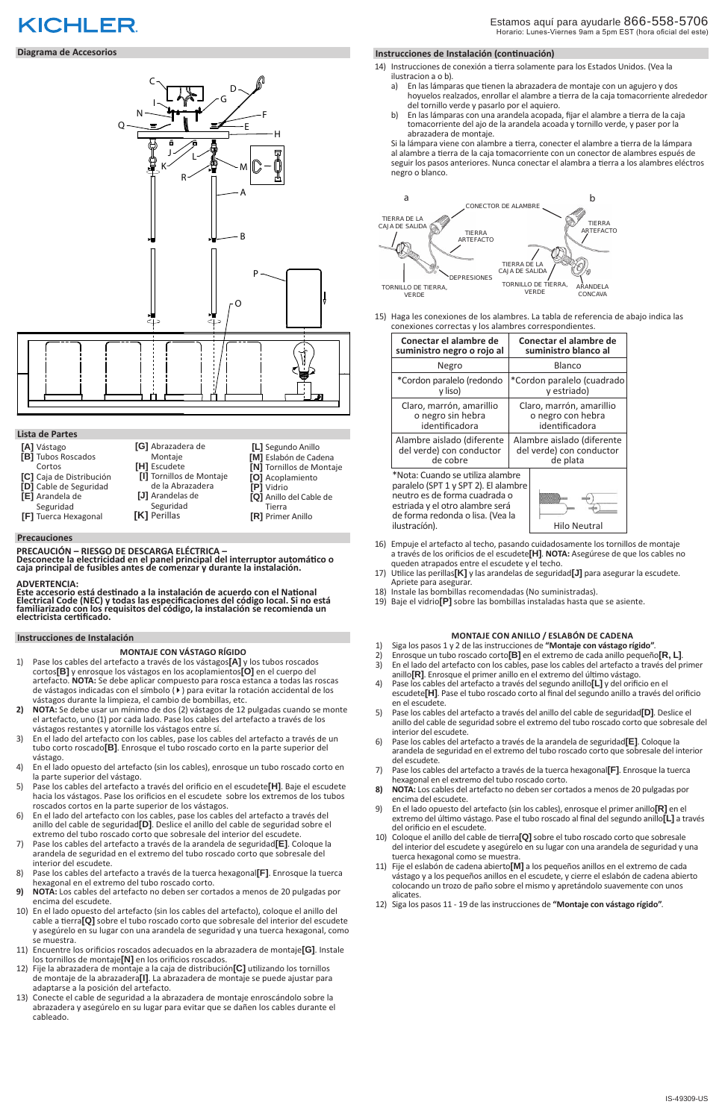- 14) Instrucciones de conexión a tierra solamente para los Estados Unidos. (Vea la ilustracion a o b).
	- a) En las lámparas que tienen la abrazadera de montaje con un agujero y dos hoyuelos realzados, enrollar el alambre a tierra de la caja tomacorriente alrededor del tornillo verde y pasarlo por el aquiero.
	- b) En las lámparas con una arandela acopada, fijar el alambre a tierra de la caja tomacorriente del ajo de la arandela acoada y tornillo verde, y paser por la abrazadera de montaje.

Si la lámpara viene con alambre a tierra, conecter el alambre a tierra de la lámpara al alambre a tierra de la caja tomacorriente con un conector de alambres espués de seguir los pasos anteriores. Nunca conectar el alambra a tierra a los alambres eléctros negro o blanco.

15) Haga les conexiones de los alambres. La tabla de referencia de abajo indica las conexiones correctas y los alambres correspondientes.

| Conectar el alambre de                                                                                                                                                                            | Conectar el alambre de     |
|---------------------------------------------------------------------------------------------------------------------------------------------------------------------------------------------------|----------------------------|
| suministro negro o rojo al                                                                                                                                                                        | suministro blanco al       |
| Negro                                                                                                                                                                                             | Blanco                     |
| *Cordon paralelo (redondo                                                                                                                                                                         | *Cordon paralelo (cuadrado |
| y liso)                                                                                                                                                                                           | y estriado)                |
| Claro, marrón, amarillio                                                                                                                                                                          | Claro, marrón, amarillio   |
| o negro sin hebra                                                                                                                                                                                 | o negro con hebra          |
| identificadora                                                                                                                                                                                    | identificadora             |
| Alambre aislado (diferente                                                                                                                                                                        | Alambre aislado (diferente |
| del verde) con conductor                                                                                                                                                                          | del verde) con conductor   |
| de cobre                                                                                                                                                                                          | de plata                   |
| *Nota: Cuando se utiliza alambre<br>paralelo (SPT 1 y SPT 2). El alambre<br>neutro es de forma cuadrada o<br>estriada y el otro alambre será<br>de forma redonda o lisa. (Vea la<br>ilustración). | Hilo Neutral               |

- 16) Empuje el artefacto al techo, pasando cuidadosamente los tornillos de montaje a través de los orificios de el escudete**[H]**. **NOTA:** Asegúrese de que los cables no queden atrapados entre el escudete y el techo.
- 17) Utilice las perillas**[K]** y las arandelas de seguridad**[J]** para asegurar la escudete. Apriete para asegurar.
- 18) Instale las bombillas recomendadas (No suministradas).
- 19) Baje el vidrio**[P]** sobre las bombillas instaladas hasta que se asiente.



## **KICHLER**

## **Diagrama de Accesorios**

## **Lista de Partes**

- **[A]** Vástago
- **[B]** Tubos Roscados
- Cortos **[C]** Caja de Distribución
- **[D]** Cable de Seguridad
- **[E]** Arandela de
- Seguridad
- **[F]** Tuerca Hexagonal
- Montaje **[H]** Escudete **[I]** Tornillos de Montaje de la Abrazadera **[J]** Arandelas de Seguridad **[K]** Perillas

**[G]** Abrazadera de

**[L]** Segundo Anillo **[M]** Eslabón de Cadena **[N]** Tornillos de Montaje **[O]** Acoplamiento **[P]** Vidrio

**[Q]** Anillo del Cable de Tierra **[R]** Primer Anillo

#### **Precauciones**

**PRECAUCIÓN – RIESGO DE DESCARGA ELÉCTRICA – Desconecte la electricidad en el panel principal del interruptor automático o caja principal de fusibles antes de comenzar y durante la instalación.** 

#### **ADVERTENCIA:**

**Este accesorio está destinado a la instalación de acuerdo con el National Electrical Code (NEC) y todas las especificaciones del código local. Si no está familiarizado con los requisitos del código, la instalación se recomienda un electricista certificado.**

#### **Instrucciones de Instalación**

#### **MONTAJE CON VÁSTAGO RÍGIDO**

- 1) Pase los cables del artefacto a través de los vástagos**[A]** y los tubos roscados cortos**[B]** y enrosque los vástagos en los acoplamientos**[O]** en el cuerpo del artefacto. **NOTA:** Se debe aplicar compuesto para rosca estanca a todas las roscas de vástagos indicadas con el símbolo (4) para evitar la rotación accidental de los vástagos durante la limpieza, el cambio de bombillas, etc.
- **2) NOTA:** Se debe usar un mínimo de dos (2) vástagos de 12 pulgadas cuando se monte el artefacto, uno (1) por cada lado. Pase los cables del artefacto a través de los vástagos restantes y atornille los vástagos entre sí.
- 3) En el lado del artefacto con los cables, pase los cables del artefacto a través de un tubo corto roscado**[B]**. Enrosque el tubo roscado corto en la parte superior del vástago.
- 4) En el lado opuesto del artefacto (sin los cables), enrosque un tubo roscado corto en la parte superior del vástago.
- 5) Pase los cables del artefacto a través del orificio en el escudete**[H]**. Baje el escudete hacia los vástagos. Pase los orificios en el escudete sobre los extremos de los tubos roscados cortos en la parte superior de los vástagos.
- 6) En el lado del artefacto con los cables, pase los cables del artefacto a través del

## **Instrucciones de Instalación (continuación)**

- 1) Siga los pasos 1 y 2 de las instrucciones de **"Montaje con vástago rígido"**.
- 2) Enrosque un tubo roscado corto**[B]** en el extremo de cada anillo pequeño**[R, L]**.
- 3) En el lado del artefacto con los cables, pase los cables del artefacto a través del primer anillo**[R]**. Enrosque el primer anillo en el extremo del último vástago.
- 4) Pase los cables del artefacto a través del segundo anillo**[L]** y del orificio en el escudete**[H]**. Pase el tubo roscado corto al final del segundo anillo a través del orificio en el escudete.
- 5) Pase los cables del artefacto a través del anillo del cable de seguridad**[D]**. Deslice el anillo del cable de seguridad sobre el extremo del tubo roscado corto que sobresale del interior del escudete.
- 6) Pase los cables del artefacto a través de la arandela de seguridad**[E]**. Coloque la arandela de seguridad en el extremo del tubo roscado corto que sobresale del interior del escudete.
- 7) Pase los cables del artefacto a través de la tuerca hexagonal**[F]**. Enrosque la tuerca hexagonal en el extremo del tubo roscado corto.
- **8) NOTA:** Los cables del artefacto no deben ser cortados a menos de 20 pulgadas por encima del escudete.
- 9) En el lado opuesto del artefacto (sin los cables), enrosque el primer anillo**[R]** en el extremo del último vástago. Pase el tubo roscado al final del segundo anillo**[L]** a través
- anillo del cable de seguridad**[D]**. Deslice el anillo del cable de seguridad sobre el extremo del tubo roscado corto que sobresale del interior del escudete.
- 7) Pase los cables del artefacto a través de la arandela de seguridad**[E]**. Coloque la arandela de seguridad en el extremo del tubo roscado corto que sobresale del interior del escudete.
- 8) Pase los cables del artefacto a través de la tuerca hexagonal**[F]**. Enrosque la tuerca hexagonal en el extremo del tubo roscado corto.
- **9) NOTA:** Los cables del artefacto no deben ser cortados a menos de 20 pulgadas por encima del escudete.
- 10) En el lado opuesto del artefacto (sin los cables del artefacto), coloque el anillo del cable a tierra**[Q]** sobre el tubo roscado corto que sobresale del interior del escudete y asegúrelo en su lugar con una arandela de seguridad y una tuerca hexagonal, como se muestra.
- 11) Encuentre los orificios roscados adecuados en la abrazadera de montaje**[G]**. Instale los tornillos de montaje**[N]** en los orificios roscados.
- 12) Fije la abrazadera de montaje a la caja de distribución**[C]** utilizando los tornillos de montaje de la abrazadera**[I]**. La abrazadera de montaje se puede ajustar para adaptarse a la posición del artefacto.
- 13) Conecte el cable de seguridad a la abrazadera de montaje enroscándolo sobre la abrazadera y asegúrelo en su lugar para evitar que se dañen los cables durante el cableado.

#### **MONTAJE CON ANILLO / ESLABÓN DE CADENA**

- del orificio en el escudete.
- 10) Coloque el anillo del cable de tierra**[Q]** sobre el tubo roscado corto que sobresale del interior del escudete y asegúrelo en su lugar con una arandela de seguridad y una tuerca hexagonal como se muestra.
- 11) Fije el eslabón de cadena abierto**[M]** a los pequeños anillos en el extremo de cada vástago y a los pequeños anillos en el escudete, y cierre el eslabón de cadena abierto colocando un trozo de paño sobre el mismo y apretándolo suavemente con unos alicates.
- 12) Siga los pasos 11 19 de las instrucciones de **"Montaje con vástago rígido"**.

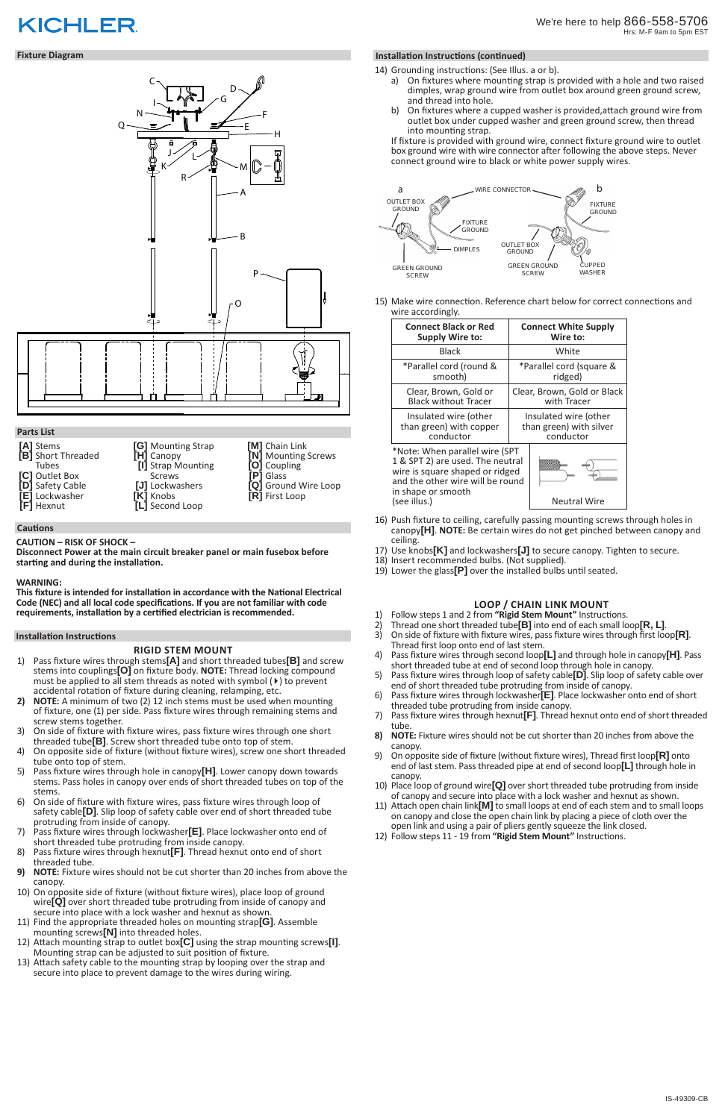# **KICHLER**

- 14) Grounding instructions: (See Illus. a or b).
	- a) On fixtures where mounting strap is provided with a hole and two raised dimples, wrap ground wire from outlet box around green ground screw, and thread into hole.
	- b) On fixtures where a cupped washer is provided,attach ground wire from outlet box under cupped washer and green ground screw, then thread into mounting strap.

If fixture is provided with ground wire, connect fixture ground wire to outlet box ground wire with wire connector after following the above steps. Never connect ground wire to black or white power supply wires.

15) Make wire connection. Reference chart below for correct connections and wire accordingly.

| <b>Connect Black or Red</b>                                                                                                                                     | <b>Connect White Supply</b> |
|-----------------------------------------------------------------------------------------------------------------------------------------------------------------|-----------------------------|
| <b>Supply Wire to:</b>                                                                                                                                          | Wire to:                    |
| <b>Black</b>                                                                                                                                                    | White                       |
| *Parallel cord (round &                                                                                                                                         | *Parallel cord (square &    |
| smooth)                                                                                                                                                         | ridged)                     |
| Clear, Brown, Gold or                                                                                                                                           | Clear, Brown, Gold or Black |
| <b>Black without Tracer</b>                                                                                                                                     | with Tracer                 |
| Insulated wire (other                                                                                                                                           | Insulated wire (other       |
| than green) with copper                                                                                                                                         | than green) with silver     |
| conductor                                                                                                                                                       | conductor                   |
| *Note: When parallel wire (SPT<br>1 & SPT 2) are used. The neutral<br>wire is square shaped or ridged<br>and the other wire will be round<br>in shape or smooth |                             |
| (see illus.)                                                                                                                                                    | <b>Neutral Wire</b>         |

- 16) Push fixture to ceiling, carefully passing mounting screws through holes in canopy**[H]**. **NOTE:** Be certain wires do not get pinched between canopy and ceiling.
- 17) Use knobs**[K]** and lockwashers**[J]** to secure canopy. Tighten to secure.
- 18) Insert recommended bulbs. (Not supplied).
- 19) Lower the glass**[P]** over the installed bulbs until seated.



## **Fixture Diagram**

## **Parts List**

#### **Cautions**

**CAUTION – RISK OF SHOCK –** 

**Disconnect Power at the main circuit breaker panel or main fusebox before starting and during the installation.** 

#### **WARNING:**

**This fixture is intended for installation in accordance with the National Electrical Code (NEC) and all local code specifications. If you are not familiar with code requirements, installation by a certified electrician is recommended.**

## **Installation Instructions**

**[A]** Stems **[B]** Short Threaded Tubes **[C]** Outlet Box **[D]** Safety Cable **[E]** Lockwasher **[F]** Hexnut **[G]** Mounting Strap **[H]** Canopy **[I]** Strap Mounting Screws **[J]** Lockwashers **[K]** Knobs **[L]** Second Loop

**[M]** Chain Link

**[N]** Mounting Screws **[O]** Coupling **[P]** Glass

**[Q]** Ground Wire Loop

**[R]** First Loop

## **RIGID STEM MOUNT**

- 1) Pass fixture wires through stems**[A]** and short threaded tubes**[B]** and screw stems into couplings**[O]** on fixture body. **NOTE:** Thread locking compound must be applied to all stem threads as noted with symbol (4) to prevent accidental rotation of fixture during cleaning, relamping, etc.
- **2) NOTE:** A minimum of two (2) 12 inch stems must be used when mounting of fixture, one (1) per side. Pass fixture wires through remaining stems and screw stems together.
- 3) On side of fixture with fixture wires, pass fixture wires through one short threaded tube**[B]**. Screw short threaded tube onto top of stem.
- 4) On opposite side of fixture (without fixture wires), screw one short threaded tube onto top of stem.
- 5) Pass fixture wires through hole in canopy**[H]**. Lower canopy down towards stems. Pass holes in canopy over ends of short threaded tubes on top of the stems.
- 6) On side of fixture with fixture wires, pass fixture wires through loop of safety cable**[D]**. Slip loop of safety cable over end of short threaded tube protruding from inside of canopy.

## **Installation Instructions (continued)**

- 1) Follow steps 1 and 2 from **"Rigid Stem Mount"** Instructions.
- 
- 2) On side of fixture with fixture wires, pass fixture wires through first loop**[R]**.<br>Thread first loop onto end of last stem.<br>4) Pass fixture wires through second loop**[L]** and through hole in canopy**[H]**. Pa
- 4) Pass fixture wires through second loop**[L]** and through hole in canopy**[H]**. Pass short threaded tube at end of second loop through hole in canopy.
- 5) Pass fixture wires through loop of safety cable**[D]**. Slip loop of safety cable over end of short threaded tube protruding from inside of canopy.
- 6) Pass fixture wires through lockwasher**[E]**. Place lockwasher onto end of short threaded tube protruding from inside canopy.
- 7) Pass fixture wires through hexnut**[F]**. Thread hexnut onto end of short threaded tube.
- **8) NOTE:** Fixture wires should not be cut shorter than 20 inches from above the canopy.
- 9) On opposite side of fixture (without fixture wires), Thread first loop**[R]** onto end of last stem. Pass threaded pipe at end of second loop**[L]** through hole in canopy.
- 10) Place loop of ground wire**[Q]** over short threaded tube protruding from inside of canopy and secure into place with a lock washer and hexnut as shown.
- 11) Attach open chain link**[M]** to small loops at end of each stem and to small loops on canopy and close the open chain link by placing a piece of cloth over the open link and using a pair of pliers gently squeeze the link closed. 12) Follow steps 11 - 19 from **"Rigid Stem Mount"** Instructions.
- 
- 7) Pass fixture wires through lockwasher**[E]**. Place lockwasher onto end of short threaded tube protruding from inside canopy.
- 8) Pass fixture wires through hexnut**[F]**. Thread hexnut onto end of short threaded tube.
- **9) NOTE:** Fixture wires should not be cut shorter than 20 inches from above the canopy.
- 10) On opposite side of fixture (without fixture wires), place loop of ground wire**[Q]** over short threaded tube protruding from inside of canopy and secure into place with a lock washer and hexnut as shown.
- 11) Find the appropriate threaded holes on mounting strap**[G]**. Assemble mounting screws**[N]** into threaded holes.
- 12) Attach mounting strap to outlet box**[C]** using the strap mounting screws**[I]**. Mounting strap can be adjusted to suit position of fixture.
- 13) Attach safety cable to the mounting strap by looping over the strap and secure into place to prevent damage to the wires during wiring.

## **LOOP / CHAIN LINK MOUNT**